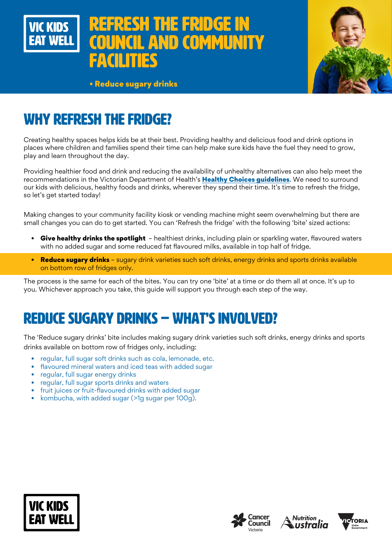



• Reduce sugary drinks

# WHY REFRESH THE FRIDGE?

Creating healthy spaces helps kids be at their best. Providing healthy and delicious food and drink options in places where children and families spend their time can help make sure kids have the fuel they need to grow, play and learn throughout the day.

Providing healthier food and drink and reducing the availability of unhealthy alternatives can also help meet the recommendations in the Victorian Department of Health's [Healthy Choices guidelines](https://www.health.vic.gov.au/preventive-health/healthy-choices). We need to surround our kids with delicious, healthy foods and drinks, wherever they spend their time. It's time to refresh the fridge, so let's get started today!

Making changes to your community facility kiosk or vending machine might seem overwhelming but there are small changes you can do to get started. You can 'Refresh the fridge' with the following 'bite' sized actions:

- Give healthy drinks the spotlight healthiest drinks, including plain or sparkling water, flavoured waters with no added sugar and some reduced fat flavoured milks, available in top half of fridge.
- Reduce sugary drinks sugary drink varieties such soft drinks, energy drinks and sports drinks available on bottom row of fridges only.

The process is the same for each of the bites. You can try one 'bite' at a time or do them all at once. It's up to you. Whichever approach you take, this guide will support you through each step of the way.

# REDUCE SUGARY DRINKS – WHAT'S INVOLVED?

The 'Reduce sugary drinks' bite includes making sugary drink varieties such soft drinks, energy drinks and sports drinks available on bottom row of fridges only, including:

- regular, full sugar soft drinks such as cola, lemonade, etc.
- flavoured mineral waters and iced teas with added sugar
- regular, full sugar energy drinks
- regular, full sugar sports drinks and waters
- fruit juices or fruit-flavoured drinks with added sugar
- kombucha, with added sugar (>1g sugar per 100g).







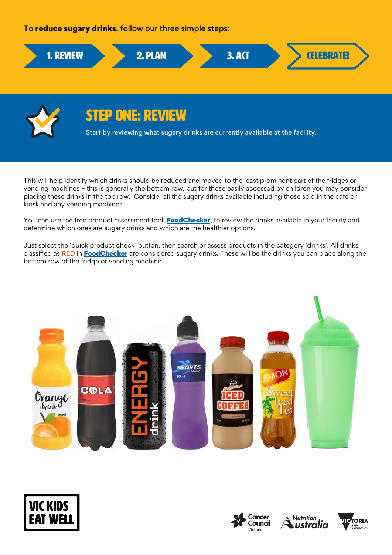### To reduce sugary drinks, follow our three simple steps:





# STEP ONE: REVIEW

Start by reviewing what sugary drinks are currently available at the facility.

This will help identify which drinks should be reduced and moved to the least prominent part of the fridges or vending machines – this is generally the bottom row, but for those easily accessed by children you may consider placing these drinks in the top row. Consider all the sugary drinks available including those sold in the café or kiosk and any vending machines.

You can use the free product assessment tool, **[FoodChecker](https://foodchecker.heas.health.vic.gov.au/)**, to review the drinks available in your facility and determine which ones are sugary drinks and which are the healthier options.

Just select the 'quick product check' button, then search or assess products in the category 'drinks'. All drinks classified as RED in [FoodChecker](https://foodchecker.heas.health.vic.gov.au/) are considered sugary drinks. These will be the drinks you can place along the bottom row of the fridge or vending machine.









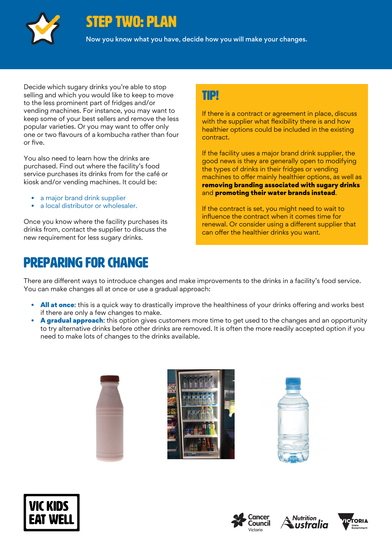

### STEP TWO: PLAN

Now you know what you have, decide how you will make your changes.

Decide which sugary drinks you're able to stop selling and which you would like to keep to move to the less prominent part of fridges and/or vending machines. For instance, you may want to keep some of your best sellers and remove the less popular varieties. Or you may want to offer only one or two flavours of a kombucha rather than four or five.

You also need to learn how the drinks are purchased. Find out where the facility's food service purchases its drinks from for the café or kiosk and/or vending machines. It could be:

- a major brand drink supplier
- a local distributor or wholesaler.

Once you know where the facility purchases its drinks from, contact the supplier to discuss the new requirement for less sugary drinks.

# Preparing for change

### TIP!

If there is a contract or agreement in place, discuss with the supplier what flexibility there is and how healthier options could be included in the existing contract.

If the facility uses a major brand drink supplier, the good news is they are generally open to modifying the types of drinks in their fridges or vending machines to offer mainly healthier options, as well as removing branding associated with sugary drinks and promoting their water brands instead.

If the contract is set, you might need to wait to influence the contract when it comes time for renewal. Or consider using a different supplier that can offer the healthier drinks you want.

There are different ways to introduce changes and make improvements to the drinks in a facility's food service. You can make changes all at once or use a gradual approach:

- All at once: this is a quick way to drastically improve the healthiness of your drinks offering and works best if there are only a few changes to make.
- A gradual approach: this option gives customers more time to get used to the changes and an opportunity to try alternative drinks before other drinks are removed. It is often the more readily accepted option if you need to make lots of changes to the drinks available.













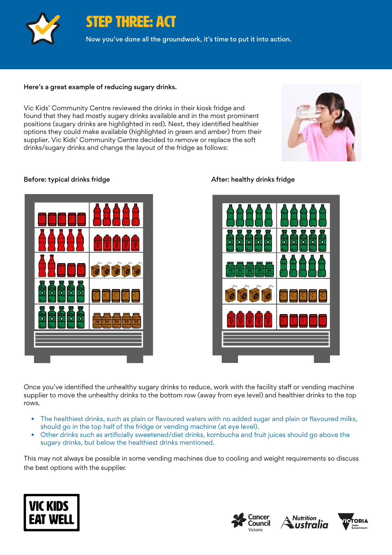

STEP THREE: ACT

Now you've done all the groundwork, it's time to put it into action.

#### Here's a great example of reducing sugary drinks.

Vic Kids' Community Centre reviewed the drinks in their kiosk fridge and found that they had mostly sugary drinks available and in the most prominent positions (sugary drinks are highlighted in red). Next, they identified healthier options they could make available (highlighted in green and amber) from their supplier. Vic Kids' Community Centre decided to remove or replace the soft drinks/sugary drinks and change the layout of the fridge as follows:



#### Before: typical drinks fridge **After: healthy drinks fridge** After: healthy drinks fridge





Once you've identified the unhealthy sugary drinks to reduce, work with the facility staff or vending machine supplier to move the unhealthy drinks to the bottom row (away from eye level) and healthier drinks to the top rows.

- The healthiest drinks, such as plain or flavoured waters with no added sugar and plain or flavoured milks, should go in the top half of the fridge or vending machine (at eye level).
- Other drinks such as artificially sweetened/diet drinks, kombucha and fruit juices should go above the sugary drinks, but below the healthiest drinks mentioned.

This may not always be possible in some vending machines due to cooling and weight requirements so discuss the best options with the supplier.







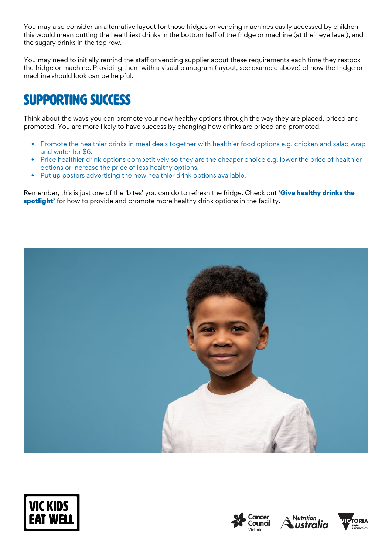You may also consider an alternative layout for those fridges or vending machines easily accessed by children – this would mean putting the healthiest drinks in the bottom half of the fridge or machine (at their eye level), and the sugary drinks in the top row.

You may need to initially remind the staff or vending supplier about these requirements each time they restock the fridge or machine. Providing them with a visual planogram (layout, see example above) of how the fridge or machine should look can be helpful.

# SUPPORTING SUCCESS

Think about the ways you can promote your new healthy options through the way they are placed, priced and promoted. You are more likely to have success by changing how drinks are priced and promoted.

- Promote the healthier drinks in meal deals together with healthier food options e.g. chicken and salad wrap and water for \$6.
- Price healthier drink options competitively so they are the cheaper choice e.g. lower the price of healthier options or increase the price of less healthy options.
- Put up posters advertising the new healthier drink options available.

Remember, this is just one of the 'bites' you can do to refresh the fridge. Check out 'Give healthy drinks the [spotlight'](https://www.vickidseatwell.health.vic.gov.au/resources) for how to provide and promote more healthy drink options in the facility.